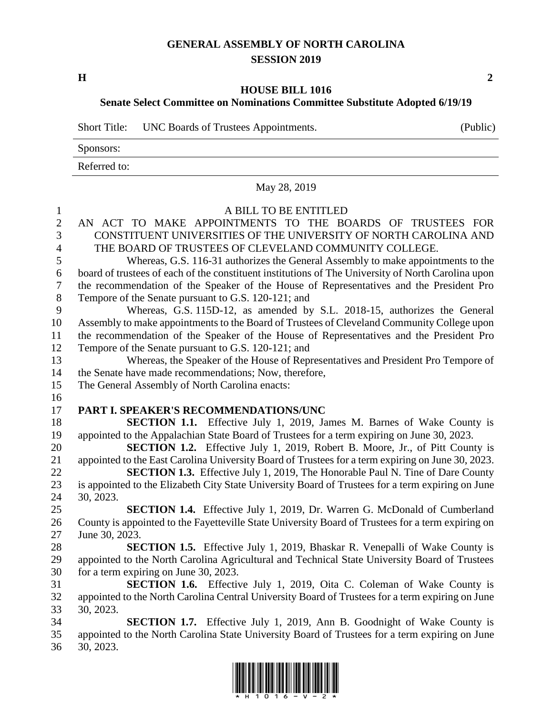## **GENERAL ASSEMBLY OF NORTH CAROLINA SESSION 2019**

**H 2**

## **HOUSE BILL 1016**

## **Senate Select Committee on Nominations Committee Substitute Adopted 6/19/19**

|              | Short Title: UNC Boards of Trustees Appointments. | (Public) |
|--------------|---------------------------------------------------|----------|
| Sponsors:    |                                                   |          |
| Referred to: |                                                   |          |

|                | May 28, 2019                                                                                                           |
|----------------|------------------------------------------------------------------------------------------------------------------------|
| $\mathbf{1}$   | A BILL TO BE ENTITLED                                                                                                  |
| $\overline{2}$ | AN ACT TO MAKE APPOINTMENTS TO THE BOARDS OF TRUSTEES FOR                                                              |
| 3              | CONSTITUENT UNIVERSITIES OF THE UNIVERSITY OF NORTH CAROLINA AND                                                       |
| $\overline{4}$ | THE BOARD OF TRUSTEES OF CLEVELAND COMMUNITY COLLEGE.                                                                  |
| 5              | Whereas, G.S. 116-31 authorizes the General Assembly to make appointments to the                                       |
| 6              | board of trustees of each of the constituent institutions of The University of North Carolina upon                     |
| $\overline{7}$ | the recommendation of the Speaker of the House of Representatives and the President Pro                                |
| 8              | Tempore of the Senate pursuant to G.S. 120-121; and                                                                    |
| 9              | Whereas, G.S. 115D-12, as amended by S.L. 2018-15, authorizes the General                                              |
| 10             | Assembly to make appointments to the Board of Trustees of Cleveland Community College upon                             |
| 11             | the recommendation of the Speaker of the House of Representatives and the President Pro                                |
| 12             | Tempore of the Senate pursuant to G.S. 120-121; and                                                                    |
| 13             | Whereas, the Speaker of the House of Representatives and President Pro Tempore of                                      |
| 14             | the Senate have made recommendations; Now, therefore,                                                                  |
| 15             | The General Assembly of North Carolina enacts:                                                                         |
| 16             |                                                                                                                        |
| 17             | PART I. SPEAKER'S RECOMMENDATIONS/UNC                                                                                  |
| 18             | <b>SECTION 1.1.</b> Effective July 1, 2019, James M. Barnes of Wake County is                                          |
| 19             | appointed to the Appalachian State Board of Trustees for a term expiring on June 30, 2023.                             |
| 20             | <b>SECTION 1.2.</b> Effective July 1, 2019, Robert B. Moore, Jr., of Pitt County is                                    |
| 21             | appointed to the East Carolina University Board of Trustees for a term expiring on June 30, 2023.                      |
| 22             | <b>SECTION 1.3.</b> Effective July 1, 2019, The Honorable Paul N. Tine of Dare County                                  |
| 23             | is appointed to the Elizabeth City State University Board of Trustees for a term expiring on June                      |
| 24             | 30, 2023.                                                                                                              |
| 25             | SECTION 1.4. Effective July 1, 2019, Dr. Warren G. McDonald of Cumberland                                              |
| 26             | County is appointed to the Fayetteville State University Board of Trustees for a term expiring on                      |
| 27             | June 30, 2023.                                                                                                         |
| 28             | <b>SECTION 1.5.</b> Effective July 1, 2019, Bhaskar R. Venepalli of Wake County is                                     |
| 29<br>30       | appointed to the North Carolina Agricultural and Technical State University Board of Trustees                          |
| 31             | for a term expiring on June 30, 2023.<br><b>SECTION 1.6.</b> Effective July 1, 2019, Oita C. Coleman of Wake County is |
| 32             | appointed to the North Carolina Central University Board of Trustees for a term expiring on June                       |
| 33             | 30, 2023.                                                                                                              |
| 34             | <b>SECTION 1.7.</b> Effective July 1, 2019, Ann B. Goodnight of Wake County is                                         |
| 35             | appointed to the North Carolina State University Board of Trustees for a term expiring on June                         |
| 36             | 30, 2023.                                                                                                              |
|                |                                                                                                                        |

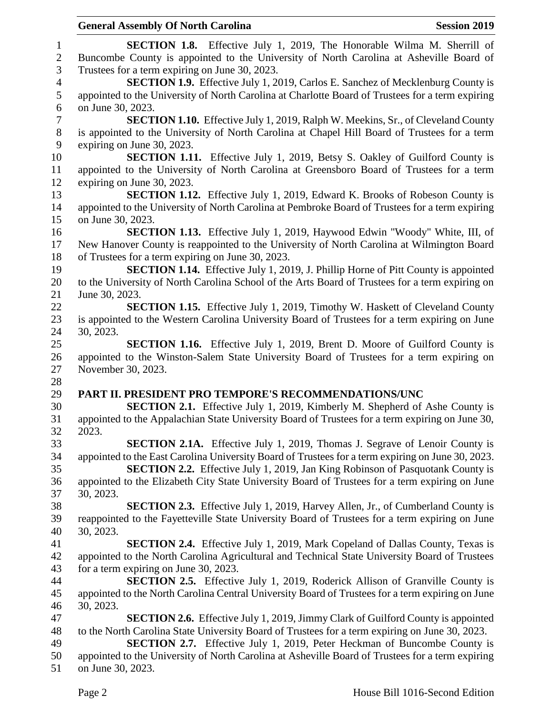|                          | <b>General Assembly Of North Carolina</b><br><b>Session 2019</b>                                  |
|--------------------------|---------------------------------------------------------------------------------------------------|
| $\mathbf{1}$             | <b>SECTION 1.8.</b> Effective July 1, 2019, The Honorable Wilma M. Sherrill of                    |
| $\mathbf{2}$             | Buncombe County is appointed to the University of North Carolina at Asheville Board of            |
| 3                        | Trustees for a term expiring on June 30, 2023.                                                    |
| $\overline{\mathcal{A}}$ | <b>SECTION 1.9.</b> Effective July 1, 2019, Carlos E. Sanchez of Mecklenburg County is            |
| 5                        | appointed to the University of North Carolina at Charlotte Board of Trustees for a term expiring  |
| 6                        | on June 30, 2023.                                                                                 |
| $\boldsymbol{7}$         | <b>SECTION 1.10.</b> Effective July 1, 2019, Ralph W. Meekins, Sr., of Cleveland County           |
| $8\phantom{1}$           | is appointed to the University of North Carolina at Chapel Hill Board of Trustees for a term      |
| 9                        | expiring on June 30, 2023.                                                                        |
| 10                       | <b>SECTION 1.11.</b> Effective July 1, 2019, Betsy S. Oakley of Guilford County is                |
| 11                       | appointed to the University of North Carolina at Greensboro Board of Trustees for a term          |
| 12                       | expiring on June 30, 2023.                                                                        |
| 13                       | SECTION 1.12. Effective July 1, 2019, Edward K. Brooks of Robeson County is                       |
| 14                       | appointed to the University of North Carolina at Pembroke Board of Trustees for a term expiring   |
| 15                       | on June 30, 2023.                                                                                 |
| 16                       | <b>SECTION 1.13.</b> Effective July 1, 2019, Haywood Edwin "Woody" White, III, of                 |
| 17                       | New Hanover County is reappointed to the University of North Carolina at Wilmington Board         |
| 18                       | of Trustees for a term expiring on June 30, 2023.                                                 |
| 19                       | <b>SECTION 1.14.</b> Effective July 1, 2019, J. Phillip Horne of Pitt County is appointed         |
| 20                       | to the University of North Carolina School of the Arts Board of Trustees for a term expiring on   |
| 21                       | June 30, 2023.                                                                                    |
| 22                       | <b>SECTION 1.15.</b> Effective July 1, 2019, Timothy W. Haskett of Cleveland County               |
| 23                       | is appointed to the Western Carolina University Board of Trustees for a term expiring on June     |
| 24                       | 30, 2023.                                                                                         |
| 25                       | <b>SECTION 1.16.</b> Effective July 1, 2019, Brent D. Moore of Guilford County is                 |
| 26                       | appointed to the Winston-Salem State University Board of Trustees for a term expiring on          |
| 27                       | November 30, 2023.                                                                                |
| 28                       |                                                                                                   |
| 29                       | PART II. PRESIDENT PRO TEMPORE'S RECOMMENDATIONS/UNC                                              |
| 30                       | SECTION 2.1. Effective July 1, 2019, Kimberly M. Shepherd of Ashe County is                       |
| 31                       | appointed to the Appalachian State University Board of Trustees for a term expiring on June 30,   |
| 32                       | 2023.                                                                                             |
| 33                       | <b>SECTION 2.1A.</b> Effective July 1, 2019, Thomas J. Segrave of Lenoir County is                |
| 34                       | appointed to the East Carolina University Board of Trustees for a term expiring on June 30, 2023. |
| 35                       | <b>SECTION 2.2.</b> Effective July 1, 2019, Jan King Robinson of Pasquotank County is             |
| 36                       | appointed to the Elizabeth City State University Board of Trustees for a term expiring on June    |
| 37                       | 30, 2023.                                                                                         |
| 38                       | <b>SECTION 2.3.</b> Effective July 1, 2019, Harvey Allen, Jr., of Cumberland County is            |
| 39                       | reappointed to the Fayetteville State University Board of Trustees for a term expiring on June    |
| 40                       | 30, 2023.                                                                                         |
| 41                       | <b>SECTION 2.4.</b> Effective July 1, 2019, Mark Copeland of Dallas County, Texas is              |
| 42                       | appointed to the North Carolina Agricultural and Technical State University Board of Trustees     |
| 43                       | for a term expiring on June 30, 2023.                                                             |
| 44                       | <b>SECTION 2.5.</b> Effective July 1, 2019, Roderick Allison of Granville County is               |
| 45                       | appointed to the North Carolina Central University Board of Trustees for a term expiring on June  |
| 46                       | 30, 2023.                                                                                         |
| 47                       | <b>SECTION 2.6.</b> Effective July 1, 2019, Jimmy Clark of Guilford County is appointed           |
| 48                       | to the North Carolina State University Board of Trustees for a term expiring on June 30, 2023.    |
| 49                       | <b>SECTION 2.7.</b> Effective July 1, 2019, Peter Heckman of Buncombe County is                   |
| 50                       | appointed to the University of North Carolina at Asheville Board of Trustees for a term expiring  |
| 51                       | on June 30, 2023.                                                                                 |